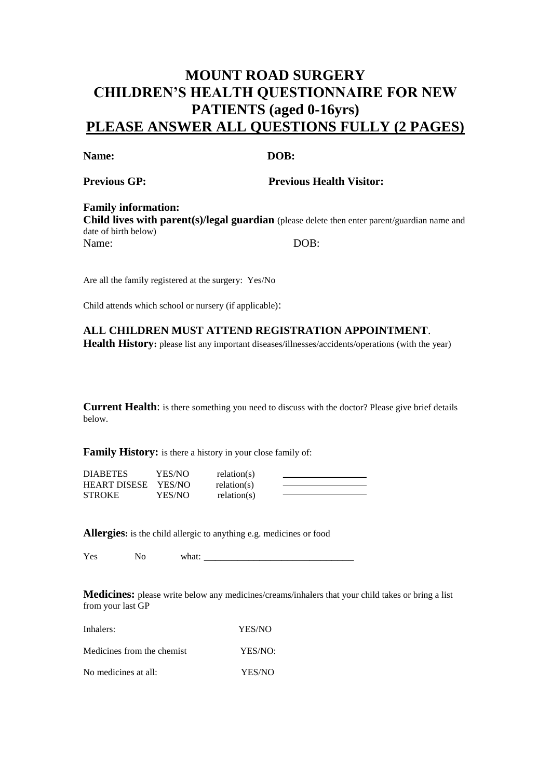# **MOUNT ROAD SURGERY CHILDREN'S HEALTH QUESTIONNAIRE FOR NEW PATIENTS (aged 0-16yrs) PLEASE ANSWER ALL QUESTIONS FULLY (2 PAGES)**

### Name: DOB:

**Previous GP:** Previous Health Visitor:

# **Family information:**

**Child lives with parent(s)/legal guardian** (please delete then enter parent/guardian name and date of birth below) Name: DOB:

Are all the family registered at the surgery: Yes/No

Child attends which school or nursery (if applicable):

**ALL CHILDREN MUST ATTEND REGISTRATION APPOINTMENT**. **Health History:** please list any important diseases/illnesses/accidents/operations (with the year)

**Current Health**: is there something you need to discuss with the doctor? Please give brief details below.

**Family History:** is there a history in your close family of:

| DIABETES     | YES/NO | relation(s) |  |
|--------------|--------|-------------|--|
| HEART DISESE | YES/NO | relation(s) |  |
| STROKE       | YES/NO | relation(s) |  |

**Allergies:** is the child allergic to anything e.g. medicines or food

Yes No what: \_\_\_\_\_\_\_\_\_\_\_\_\_\_\_\_\_\_\_\_\_\_\_\_\_\_\_

**Medicines:** please write below any medicines/creams/inhalers that your child takes or bring a list from your last GP

| Inhalers:                  | YES/NO  |
|----------------------------|---------|
| Medicines from the chemist | YES/NO: |
| No medicines at all:       | YES/NO  |